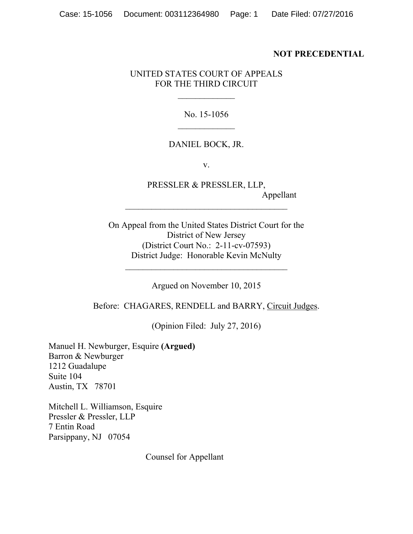### **NOT PRECEDENTIAL**

## UNITED STATES COURT OF APPEALS FOR THE THIRD CIRCUIT

#### No. 15-1056

#### DANIEL BOCK, JR.

v.

PRESSLER & PRESSLER, LLP, Appellant

On Appeal from the United States District Court for the District of New Jersey (District Court No.: 2-11-cv-07593) District Judge: Honorable Kevin McNulty

Argued on November 10, 2015

Before: CHAGARES, RENDELL and BARRY, Circuit Judges.

(Opinion Filed: July 27, 2016)

Manuel H. Newburger, Esquire **(Argued)** Barron & Newburger 1212 Guadalupe Suite 104 Austin, TX 78701

Mitchell L. Williamson, Esquire Pressler & Pressler, LLP 7 Entin Road Parsippany, NJ 07054

Counsel for Appellant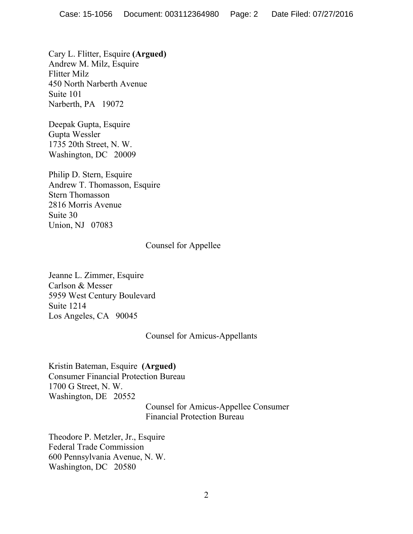Cary L. Flitter, Esquire **(Argued)** Andrew M. Milz, Esquire Flitter Milz 450 North Narberth Avenue Suite 101 Narberth, PA 19072

Deepak Gupta, Esquire Gupta Wessler 1735 20th Street, N. W. Washington, DC 20009

Philip D. Stern, Esquire Andrew T. Thomasson, Esquire Stern Thomasson 2816 Morris Avenue Suite 30 Union, NJ 07083

## Counsel for Appellee

Jeanne L. Zimmer, Esquire Carlson & Messer 5959 West Century Boulevard Suite 1214 Los Angeles, CA 90045

## Counsel for Amicus-Appellants

Kristin Bateman, Esquire **(Argued)** Consumer Financial Protection Bureau 1700 G Street, N. W. Washington, DE 20552

Counsel for Amicus-Appellee Consumer Financial Protection Bureau

Theodore P. Metzler, Jr., Esquire Federal Trade Commission 600 Pennsylvania Avenue, N. W. Washington, DC 20580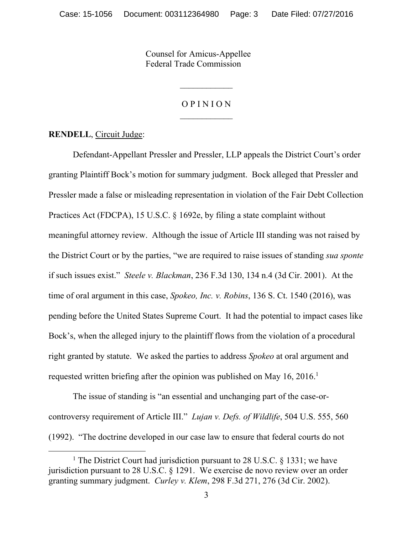Counsel for Amicus-Appellee Federal Trade Commission

# O P I N I O N

**RENDELL**, Circuit Judge:

 $\overline{a}$ 

Defendant-Appellant Pressler and Pressler, LLP appeals the District Court's order granting Plaintiff Bock's motion for summary judgment. Bock alleged that Pressler and Pressler made a false or misleading representation in violation of the Fair Debt Collection Practices Act (FDCPA), 15 U.S.C. § 1692e, by filing a state complaint without meaningful attorney review. Although the issue of Article III standing was not raised by the District Court or by the parties, "we are required to raise issues of standing *sua sponte*  if such issues exist." *Steele v. Blackman*, 236 F.3d 130, 134 n.4 (3d Cir. 2001). At the time of oral argument in this case, *Spokeo, Inc. v. Robins*, 136 S. Ct. 1540 (2016), was pending before the United States Supreme Court. It had the potential to impact cases like Bock's, when the alleged injury to the plaintiff flows from the violation of a procedural right granted by statute. We asked the parties to address *Spokeo* at oral argument and requested written briefing after the opinion was published on May 16, 2016. 1

The issue of standing is "an essential and unchanging part of the case-orcontroversy requirement of Article III." *Lujan v. Defs. of Wildlife*, 504 U.S. 555, 560 (1992). "The doctrine developed in our case law to ensure that federal courts do not

<sup>&</sup>lt;sup>1</sup> The District Court had jurisdiction pursuant to 28 U.S.C.  $\S$  1331; we have jurisdiction pursuant to 28 U.S.C. § 1291. We exercise de novo review over an order granting summary judgment. *Curley v. Klem*, 298 F.3d 271, 276 (3d Cir. 2002).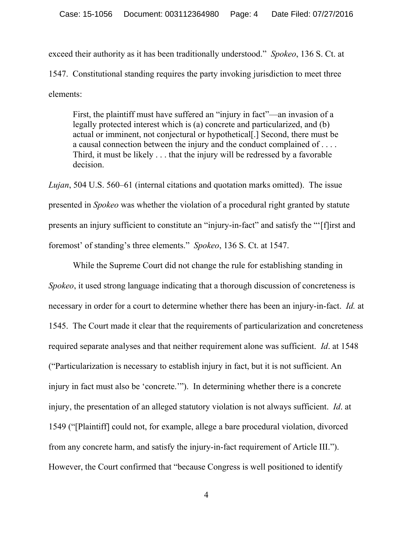exceed their authority as it has been traditionally understood." *Spokeo*, 136 S. Ct. at 1547. Constitutional standing requires the party invoking jurisdiction to meet three elements:

First, the plaintiff must have suffered an "injury in fact"—an invasion of a legally protected interest which is (a) concrete and particularized, and (b) actual or imminent, not conjectural or hypothetical[.] Second, there must be a causal connection between the injury and the conduct complained of . . . . Third, it must be likely . . . that the injury will be redressed by a favorable decision.

*Lujan*, 504 U.S. 560–61 (internal citations and quotation marks omitted). The issue presented in *Spokeo* was whether the violation of a procedural right granted by statute presents an injury sufficient to constitute an "injury-in-fact" and satisfy the "'[f]irst and foremost' of standing's three elements." *Spokeo*, 136 S. Ct. at 1547.

While the Supreme Court did not change the rule for establishing standing in *Spokeo*, it used strong language indicating that a thorough discussion of concreteness is necessary in order for a court to determine whether there has been an injury-in-fact. *Id.* at 1545. The Court made it clear that the requirements of particularization and concreteness required separate analyses and that neither requirement alone was sufficient. *Id*. at 1548 ("Particularization is necessary to establish injury in fact, but it is not sufficient. An injury in fact must also be 'concrete.'"). In determining whether there is a concrete injury, the presentation of an alleged statutory violation is not always sufficient. *Id*. at 1549 ("[Plaintiff] could not, for example, allege a bare procedural violation, divorced from any concrete harm, and satisfy the injury-in-fact requirement of Article III."). However, the Court confirmed that "because Congress is well positioned to identify